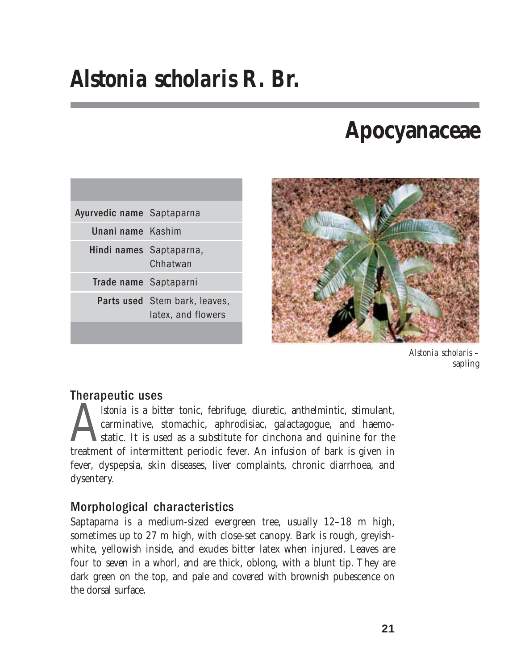# *Alstonia scholaris* **R. Br.**

# **Apocyanaceae**

| Ayurvedic name Saptaparna |                                                     |
|---------------------------|-----------------------------------------------------|
| Unani name Kashim         |                                                     |
| Hindi names Saptaparna,   | Chhatwan                                            |
| Trade name Saptaparni     |                                                     |
|                           | Parts used Stem bark, leaves,<br>latex, and flowers |
|                           |                                                     |



*Alstonia scholaris –* sapling

#### Therapeutic uses

*Alstonia* is a bitter tonic, febrifuge, diuretic, anthelmintic, stimulant, carminative, stomachic, aphrodisiac, galactagogue, and haemostatic. It is used as a substitute for cinchona and quinine for the treatment of intermittent periodic fever. An infusion of bark is given in fever, dyspepsia, skin diseases, liver complaints, chronic diarrhoea, and dysentery.

#### Morphological characteristics

Saptaparna is a medium-sized evergreen tree, usually 12–18 m high, sometimes up to 27 m high, with close-set canopy. Bark is rough, greyishwhite, yellowish inside, and exudes bitter latex when injured. Leaves are four to seven in a whorl, and are thick, oblong, with a blunt tip. They are dark green on the top, and pale and covered with brownish pubescence on the dorsal surface.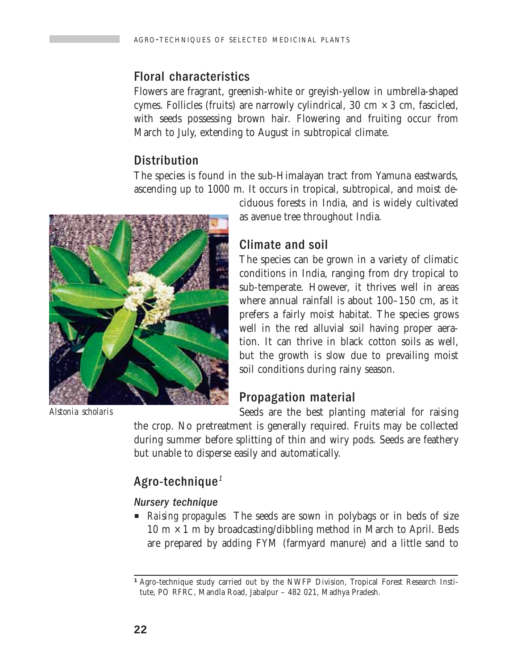#### Floral characteristics

Flowers are fragrant, greenish-white or greyish-yellow in umbrella-shaped cymes. Follicles (fruits) are narrowly cylindrical, 30 cm  $\times$  3 cm, fascicled, with seeds possessing brown hair. Flowering and fruiting occur from March to July, extending to August in subtropical climate.

### **Distribution**

The species is found in the sub-Himalayan tract from Yamuna eastwards, ascending up to 1000 m. It occurs in tropical, subtropical, and moist de-



*Alstonia scholaris*

ciduous forests in India, and is widely cultivated as avenue tree throughout India.

#### Climate and soil

The species can be grown in a variety of climatic conditions in India, ranging from dry tropical to sub-temperate. However, it thrives well in areas where annual rainfall is about 100–150 cm, as it prefers a fairly moist habitat. The species grows well in the red alluvial soil having proper aeration. It can thrive in black cotton soils as well, but the growth is slow due to prevailing moist soil conditions during rainy season.

### Propagation material

Seeds are the best planting material for raising the crop. No pretreatment is generally required. Fruits may be collected during summer before splitting of thin and wiry pods. Seeds are feathery but unable to disperse easily and automatically.

## Agro-technique<sup>1</sup>

#### Nursery technique

**Raising propagules** The seeds are sown in polybags or in beds of size 10  $m \times 1$  m by broadcasting/dibbling method in March to April. Beds are prepared by adding FYM (farmyard manure) and a little sand to

<sup>&</sup>lt;sup>1</sup> Agro-technique study carried out by the NWFP Division, Tropical Forest Research Institute, PO RFRC, Mandla Road, Jabalpur – 482 021, Madhya Pradesh.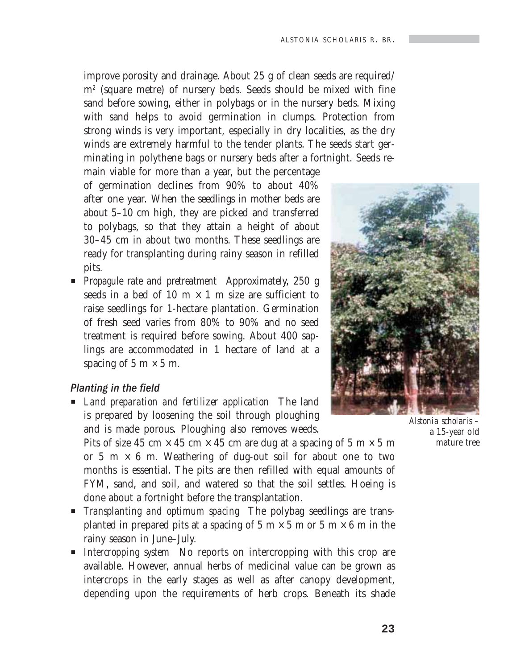improve porosity and drainage. About 25 g of clean seeds are required/ m2 (square metre) of nursery beds. Seeds should be mixed with fine sand before sowing, either in polybags or in the nursery beds. Mixing with sand helps to avoid germination in clumps. Protection from strong winds is very important, especially in dry localities, as the dry winds are extremely harmful to the tender plants. The seeds start germinating in polythene bags or nursery beds after a fortnight. Seeds re-

main viable for more than a year, but the percentage of germination declines from 90% to about 40% after one year. When the seedlings in mother beds are about 5–10 cm high, they are picked and transferred to polybags, so that they attain a height of about 30–45 cm in about two months. These seedlings are ready for transplanting during rainy season in refilled pits.

**Propagule rate and pretreatment** Approximately, 250 g seeds in a bed of 10 m  $\times$  1 m size are sufficient to raise seedlings for 1-hectare plantation. Germination of fresh seed varies from 80% to 90% and no seed treatment is required before sowing. About 400 saplings are accommodated in 1 hectare of land at a spacing of 5 m  $\times$  5 m.

#### Planting in the field

P *Land preparation and fertilizer application*The land is prepared by loosening the soil through ploughing and is made porous. Ploughing also removes weeds.

Pits of size 45 cm  $\times$  45 cm  $\times$  45 cm are dug at a spacing of 5 m  $\times$  5 m or 5  $m \times 6$  m. Weathering of dug-out soil for about one to two months is essential. The pits are then refilled with equal amounts of FYM, sand, and soil, and watered so that the soil settles. Hoeing is done about a fortnight before the transplantation.

- P *Transplanting and optimum spacing* The polybag seedlings are transplanted in prepared pits at a spacing of 5 m  $\times$  5 m or 5 m  $\times$  6 m in the rainy season in June–July.
- P *Intercropping system* No reports on intercropping with this crop are available. However, annual herbs of medicinal value can be grown as intercrops in the early stages as well as after canopy development, depending upon the requirements of herb crops. Beneath its shade



*Alstonia scholaris –* a 15-year old mature tree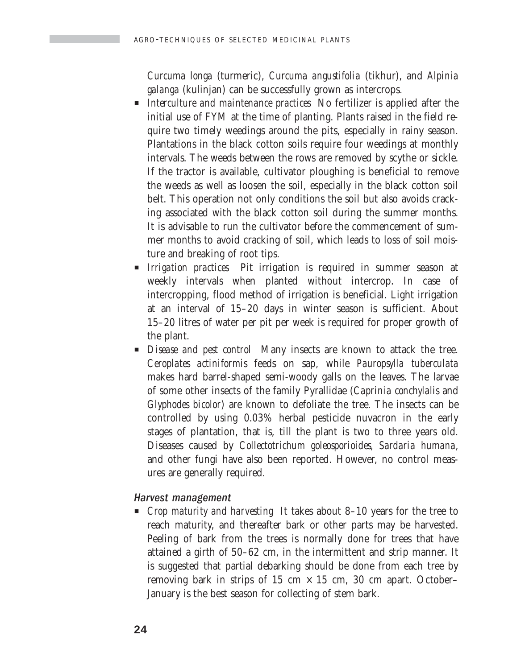*Curcuma longa* (turmeric), *Curcuma angustifolia* (tikhur), and *Alpinia galanga* (kulinjan) can be successfully grown as intercrops.

- **•** *Interculture and maintenance practices* No fertilizer is applied after the initial use of FYM at the time of planting. Plants raised in the field require two timely weedings around the pits, especially in rainy season. Plantations in the black cotton soils require four weedings at monthly intervals. The weeds between the rows are removed by scythe or sickle. If the tractor is available, cultivator ploughing is beneficial to remove the weeds as well as loosen the soil, especially in the black cotton soil belt. This operation not only conditions the soil but also avoids cracking associated with the black cotton soil during the summer months. It is advisable to run the cultivator before the commencement of summer months to avoid cracking of soil, which leads to loss of soil moisture and breaking of root tips.
- P *Irrigation practices* Pit irrigation is required in summer season at weekly intervals when planted without intercrop. In case of intercropping, flood method of irrigation is beneficial. Light irrigation at an interval of 15–20 days in winter season is sufficient. About 15–20 litres of water per pit per week is required for proper growth of the plant.
- **P** *Disease and pest control* Many insects are known to attack the tree. *Ceroplates actiniformis* feeds on sap, while *Pauropsylla tuberculata* makes hard barrel-shaped semi-woody galls on the leaves. The larvae of some other insects of the family Pyrallidae (*Caprinia conchylalis* and *Glyphodes bicolor*) are known to defoliate the tree. The insects can be controlled by using 0.03% herbal pesticide nuvacron in the early stages of plantation, that is, till the plant is two to three years old. Diseases caused by *Collectotrichum goleosporioides, Sardaria humana*, and other fungi have also been reported. However, no control measures are generally required.

#### Harvest management

P *Crop maturity and harvesting* It takes about 8–10 years for the tree to reach maturity, and thereafter bark or other parts may be harvested. Peeling of bark from the trees is normally done for trees that have attained a girth of 50–62 cm, in the intermittent and strip manner. It is suggested that partial debarking should be done from each tree by removing bark in strips of 15 cm  $\times$  15 cm, 30 cm apart. October– January is the best season for collecting of stem bark.